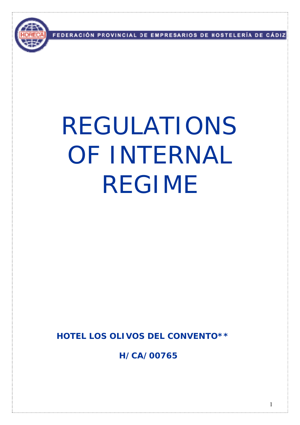# REGULATIONS OF INTERNAL REGIME

 **HOTEL LOS OLIVOS DEL CONVENTO\*\*** 

 **H/CA/00765** 

1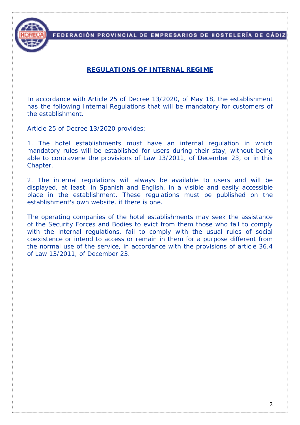#### **REGULATIONS OF INTERNAL REGIME**

In accordance with Article 25 of Decree 13/2020, of May 18, the establishment has the following Internal Regulations that will be mandatory for customers of the establishment.

Article 25 of Decree 13/2020 provides:

1. The hotel establishments must have an internal regulation in which mandatory rules will be established for users during their stay, without being able to contravene the provisions of Law 13/2011, of December 23, or in this Chapter.

2. The internal regulations will always be available to users and will be displayed, at least, in Spanish and English, in a visible and easily accessible place in the establishment. These regulations must be published on the establishment's own website, if there is one.

The operating companies of the hotel establishments may seek the assistance of the Security Forces and Bodies to evict from them those who fail to comply with the internal regulations, fail to comply with the usual rules of social coexistence or intend to access or remain in them for a purpose different from the normal use of the service, in accordance with the provisions of article 36.4 of Law 13/2011, of December 23.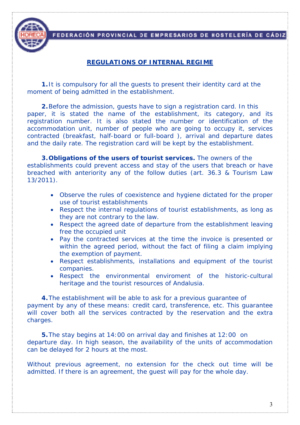#### **REGULATIONS OF INTERNAL REGIME**

**1.** It is compulsory for all the guests to present their identity card at the moment of being admitted in the establishment.

**2.**Before the admission, guests have to sign a registration card. In this paper, it is stated the name of the establishment, its category, and its registration number. It is also stated the number or identification of the accommodation unit, number of people who are going to occupy it, services contracted (breakfast, half-board or full-board ), arrival and departure dates and the daily rate. The registration card will be kept by the establishment.

**3.Obligations of the users of tourist services.** The owners of the establishments could prevent access and stay of the users that breach or have breached with anteriority any of the follow duties (art. 36.3 & Tourism Law 13/2011).

- Observe the rules of coexistence and hygiene dictated for the proper use of tourist establishments
- Respect the internal regulations of tourist establishments, as long as they are not contrary to the law.
- Respect the agreed date of departure from the establishment leaving free the occupied unit
- Pay the contracted services at the time the invoice is presented or within the agreed period, without the fact of filing a claim implying the exemption of payment.
- Respect establishments, installations and equipment of the tourist companies.
- Respect the environmental enviroment of the historic-cultural heritage and the tourist resources of Andalusia.

**4.**The establishment will be able to ask for a previous guarantee of payment by any of these means: credit card, transference, etc. This guarantee will cover both all the services contracted by the reservation and the extra charges.

**5.**The stay begins at 14:00 on arrival day and finishes at 12:00 on departure day. In high season, the availability of the units of accommodation can be delayed for 2 hours at the most.

Without previous agreement, no extension for the check out time will be admitted. If there is an agreement, the guest will pay for the whole day.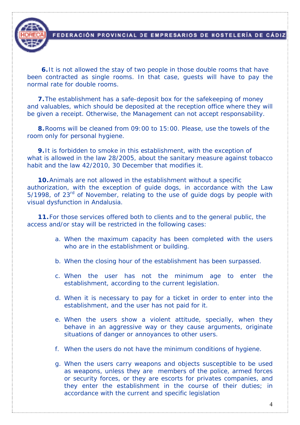**6.** It is not allowed the stay of two people in those double rooms that have been contracted as single rooms. In that case, guests will have to pay the normal rate for double rooms.

**7.** The establishment has a safe-deposit box for the safekeeping of money and valuables, which should be deposited at the reception office where they will be given a receipt. Otherwise, the Management can not accept responsability.

**8.**Rooms will be cleaned from 09:00 to 15:00. Please, use the towels of the room only for personal hygiene.

**9.**It is forbidden to smoke in this establishment, with the exception of what is allowed in the law 28/2005, about the sanitary measure against tobacco habit and the law 42/2010, 30 December that modifies it.

**10.**Animals are not allowed in the establishment without a specific authorization, with the exception of guide dogs, in accordance with the Law 5/1998, of 23rd of November, relating to the use of guide dogs by people with visual dysfunction in Andalusia.

**11.**For those services offered both to clients and to the general public, the access and/or stay will be restricted in the following cases:

- a. When the maximum capacity has been completed with the users who are in the establishment or building.
- b. When the closing hour of the establishment has been surpassed.
- c. When the user has not the minimum age to enter the establishment, according to the current legislation.
- d. When it is necessary to pay for a ticket in order to enter into the establishment, and the user has not paid for it.
- e. When the users show a violent attitude, specially, when they behave in an aggressive way or they cause arguments, originate situations of danger or annoyances to other users.
- f. When the users do not have the minimum conditions of hygiene.
- g. When the users carry weapons and objects susceptible to be used as weapons, unless they are members of the police, armed forces or security forces, or they are escorts for privates companies, and they enter the establishment in the course of their duties; in accordance with the current and specific legislation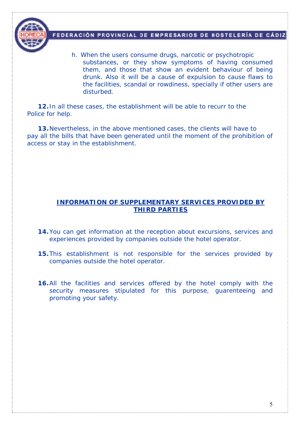

h. When the users consume drugs, narcotic or psychotropic substances, or they show symptoms of having consumed them, and those that show an evident behaviour of being drunk. Also it will be a cause of expulsion to cause flaws to the facilities, scandal or rowdiness, specially if other users are disturbed.

**12.** In all these cases, the establishment will be able to recurr to the Police for help.

**13.**Nevertheless, in the above mentioned cases, the clients will have to pay all the bills that have been generated until the moment of the prohibition of access or stay in the establishment.

#### **INFORMATION OF SUPPLEMENTARY SERVICES PROVIDED BY THIRD PARTIES**

- **14.**You can get information at the reception about excursions, services and experiences provided by companies outside the hotel operator.
- **15.**This establishment is not responsible for the services provided by companies outside the hotel operator.
- **16.**All the facilities and services offered by the hotel comply with the security measures stipulated for this purpose, guarenteeing and promoting your safety.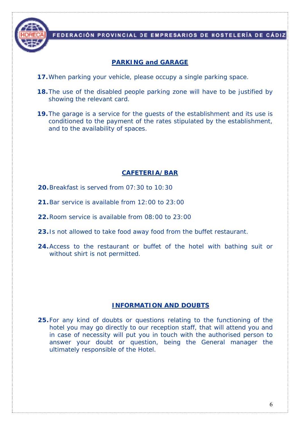

### **PARKING and GARAGE**

- **17.**When parking your vehicle, please occupy a single parking space.
- **18.**The use of the disabled people parking zone will have to be justified by showing the relevant card.
- **19.**The garage is a service for the guests of the establishment and its use is conditioned to the payment of the rates stipulated by the establishment, and to the availability of spaces.

#### **CAFETERIA/BAR**

- **20.**Breakfast is served from 07:30 to 10:30
- **21.**Bar service is available from 12:00 to 23:00
- **22.**Room service is available from 08:00 to 23:00
- **23.** Is not allowed to take food away food from the buffet restaurant.
- **24.**Access to the restaurant or buffet of the hotel with bathing suit or without shirt is not permitted.

#### **INFORMATION AND DOUBTS**

**25.**For any kind of doubts or questions relating to the functioning of the hotel you may go directly to our reception staff, that will attend you and in case of necessity will put you in touch with the authorised person to answer your doubt or question, being the General manager the ultimately responsible of the Hotel.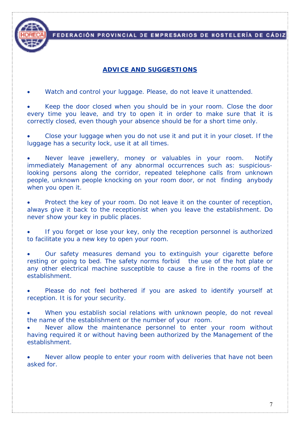#### **ADVICE AND SUGGESTIONS**

Watch and control your luggage. Please, do not leave it unattended.

 Keep the door closed when you should be in your room. Close the door every time you leave, and try to open it in order to make sure that it is correctly closed, even though your absence should be for a short time only.

 Close your luggage when you do not use it and put it in your closet. If the luggage has a security lock, use it at all times.

 Never leave jewellery, money or valuables in your room. Notify immediately Management of any abnormal occurrences such as: suspiciouslooking persons along the corridor, repeated telephone calls from unknown people, unknown people knocking on your room door, or not finding anybody when you open it.

 Protect the key of your room. Do not leave it on the counter of reception, always give it back to the receptionist when you leave the establishment. Do never show your key in public places.

 If you forget or lose your key, only the reception personnel is authorized to facilitate you a new key to open your room.

 Our safety measures demand you to extinguish your cigarette before resting or going to bed. The safety norms forbid the use of the hot plate or any other electrical machine susceptible to cause a fire in the rooms of the establishment.

 Please do not feel bothered if you are asked to identify yourself at reception. It is for your security.

 When you establish social relations with unknown people, do not reveal the name of the establishment or the number of your room.

 Never allow the maintenance personnel to enter your room without having required it or without having been authorized by the Management of the establishment.

 Never allow people to enter your room with deliveries that have not been asked for.